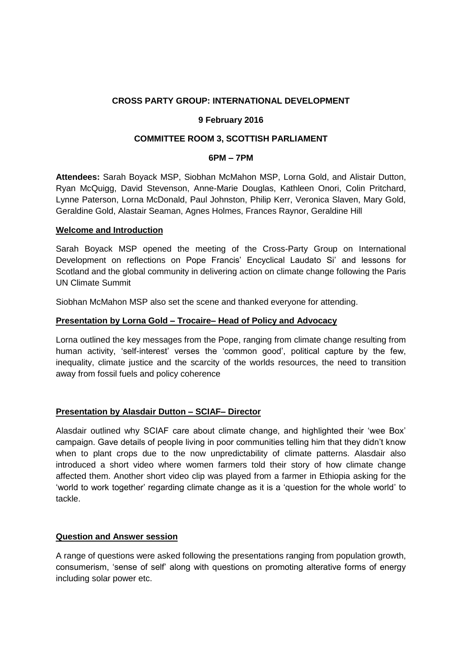# **CROSS PARTY GROUP: INTERNATIONAL DEVELOPMENT**

### **9 February 2016**

## **COMMITTEE ROOM 3, SCOTTISH PARLIAMENT**

### **6PM – 7PM**

**Attendees:** Sarah Boyack MSP, Siobhan McMahon MSP, Lorna Gold, and Alistair Dutton, Ryan McQuigg, David Stevenson, Anne-Marie Douglas, Kathleen Onori, Colin Pritchard, Lynne Paterson, Lorna McDonald, Paul Johnston, Philip Kerr, Veronica Slaven, Mary Gold, Geraldine Gold, Alastair Seaman, Agnes Holmes, Frances Raynor, Geraldine Hill

### **Welcome and Introduction**

Sarah Boyack MSP opened the meeting of the Cross-Party Group on International Development on reflections on Pope Francis' Encyclical Laudato Si' and lessons for Scotland and the global community in delivering action on climate change following the Paris UN Climate Summit

Siobhan McMahon MSP also set the scene and thanked everyone for attending.

### **Presentation by Lorna Gold – Trocaire– Head of Policy and Advocacy**

Lorna outlined the key messages from the Pope, ranging from climate change resulting from human activity, 'self-interest' verses the 'common good', political capture by the few, inequality, climate justice and the scarcity of the worlds resources, the need to transition away from fossil fuels and policy coherence

## **Presentation by Alasdair Dutton – SCIAF– Director**

Alasdair outlined why SCIAF care about climate change, and highlighted their 'wee Box' campaign. Gave details of people living in poor communities telling him that they didn't know when to plant crops due to the now unpredictability of climate patterns. Alasdair also introduced a short video where women farmers told their story of how climate change affected them. Another short video clip was played from a farmer in Ethiopia asking for the 'world to work together' regarding climate change as it is a 'question for the whole world' to tackle.

## **Question and Answer session**

A range of questions were asked following the presentations ranging from population growth, consumerism, 'sense of self' along with questions on promoting alterative forms of energy including solar power etc.